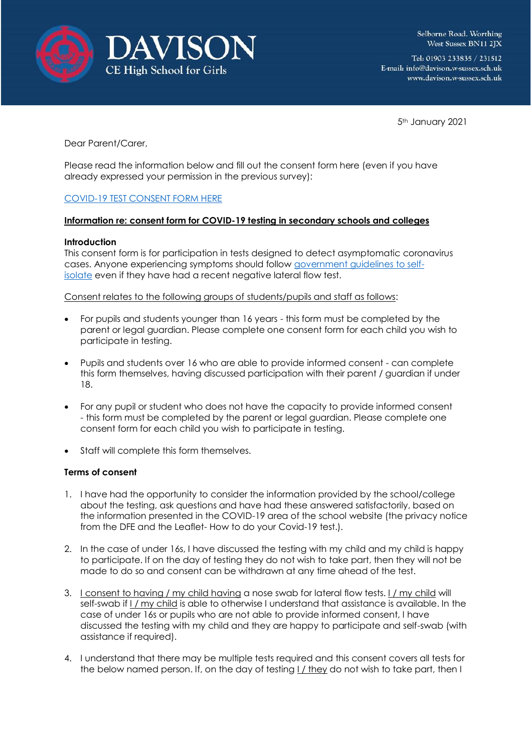



Selborne Road. Worthing West Sussex BN11 2JX

Tel: 01903 233835 / 231512 E-mail: info@davison.w-sussex.sch.uk www.davison.w-sussex.sch.uk

5th January 2021

Dear Parent/Carer,

Please read the information below and fill out the consent form here (even if you have already expressed your permission in the previous survey):

## [COVID-19 TEST CONSENT FORM HERE](https://forms.office.com/Pages/ResponsePage.aspx?id=-RjZAYGsGUaNNoRBgvnepxdPT0kyLrVAms0pxKZOzXFUQTlTMjJFV0s3S1lKMFYzVkVFTU5XRkkyTS4u)

## **Information re: consent form for COVID-19 testing in secondary schools and colleges**

## **Introduction**

This consent form is for participation in tests designed to detect asymptomatic coronavirus cases. Anyone experiencing symptoms should follow [government guidelines to self](https://www.gov.uk/government/publications/covid-19-stay-at-home-guidance/stay-at-home-guidance-for-households-with-possible-coronavirus-covid-19-infection)[isolate](https://www.gov.uk/government/publications/covid-19-stay-at-home-guidance/stay-at-home-guidance-for-households-with-possible-coronavirus-covid-19-infection) even if they have had a recent negative lateral flow test.

Consent relates to the following groups of students/pupils and staff as follows:

- For pupils and students younger than 16 years this form must be completed by the parent or legal guardian. Please complete one consent form for each child you wish to participate in testing.
- Pupils and students over 16 who are able to provide informed consent can complete this form themselves, having discussed participation with their parent / guardian if under 18.
- For any pupil or student who does not have the capacity to provide informed consent - this form must be completed by the parent or legal guardian. Please complete one consent form for each child you wish to participate in testing.
- Staff will complete this form themselves.

## **Terms of consent**

- 1. I have had the opportunity to consider the information provided by the school/college about the testing, ask questions and have had these answered satisfactorily, based on the information presented in the COVID-19 area of the school website (the privacy notice from the DFE and the Leaflet- How to do your Covid-19 test.).
- 2. In the case of under 16s, I have discussed the testing with my child and my child is happy to participate. If on the day of testing they do not wish to take part, then they will not be made to do so and consent can be withdrawn at any time ahead of the test.
- 3. I consent to having / my child having a nose swab for lateral flow tests. I / my child will self-swab if I / my child is able to otherwise I understand that assistance is available. In the case of under 16s or pupils who are not able to provide informed consent, I have discussed the testing with my child and they are happy to participate and self-swab (with assistance if required).
- 4. I understand that there may be multiple tests required and this consent covers all tests for the below named person. If, on the day of testing I / they do not wish to take part, then I